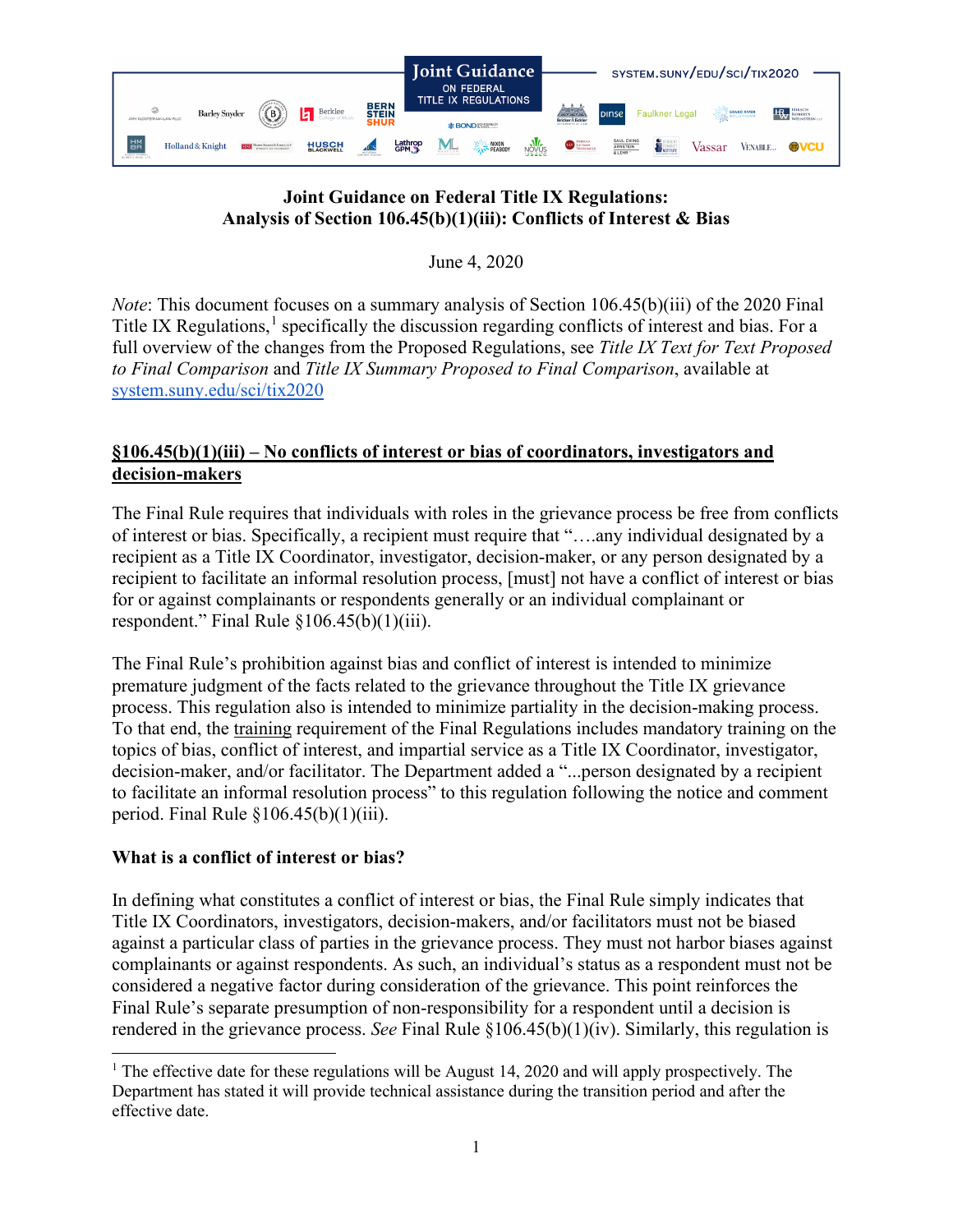

# **Joint Guidance on Federal Title IX Regulations: Analysis of Section 106.45(b)(1)(iii): Conflicts of Interest & Bias**

June 4, 2020

*Note*: This document focuses on a summary analysis of Section 106.45(b)(iii) of the 2020 Final Title IX Regulations,<sup>[1](#page-0-0)</sup> specifically the discussion regarding conflicts of interest and bias. For a full overview of the changes from the Proposed Regulations, see *Title IX Text for Text Proposed to Final Comparison* and *Title IX Summary Proposed to Final Comparison*, available at [system.suny.edu/sci/tix2020](https://system.suny.edu/sci/tix2020/)

# **§106.45(b)(1)(iii) – No conflicts of interest or bias of coordinators, investigators and decision-makers**

The Final Rule requires that individuals with roles in the grievance process be free from conflicts of interest or bias. Specifically, a recipient must require that "….any individual designated by a recipient as a Title IX Coordinator, investigator, decision-maker, or any person designated by a recipient to facilitate an informal resolution process, [must] not have a conflict of interest or bias for or against complainants or respondents generally or an individual complainant or respondent." Final Rule  $\S 106.45(b)(1)(iii)$ .

The Final Rule's prohibition against bias and conflict of interest is intended to minimize premature judgment of the facts related to the grievance throughout the Title IX grievance process. This regulation also is intended to minimize partiality in the decision-making process. To that end, the [training](https://system.suny.edu/media/suny/content-assets/documents/sci/tix2020/Training-of-Officials.pdf) requirement of the Final Regulations includes mandatory training on the topics of bias, conflict of interest, and impartial service as a Title IX Coordinator, investigator, decision-maker, and/or facilitator. The Department added a "...person designated by a recipient to facilitate an informal resolution process" to this regulation following the notice and comment period. Final Rule  $$106.45(b)(1)(iii)$ .

## **What is a conflict of interest or bias?**

In defining what constitutes a conflict of interest or bias, the Final Rule simply indicates that Title IX Coordinators, investigators, decision-makers, and/or facilitators must not be biased against a particular class of parties in the grievance process. They must not harbor biases against complainants or against respondents. As such, an individual's status as a respondent must not be considered a negative factor during consideration of the grievance. This point reinforces the Final Rule's separate presumption of non-responsibility for a respondent until a decision is rendered in the grievance process. *See* Final Rule §106.45(b)(1)(iv). Similarly, this regulation is

<span id="page-0-0"></span><sup>&</sup>lt;sup>1</sup> The effective date for these regulations will be August 14, 2020 and will apply prospectively. The Department has stated it will provide technical assistance during the transition period and after the effective date.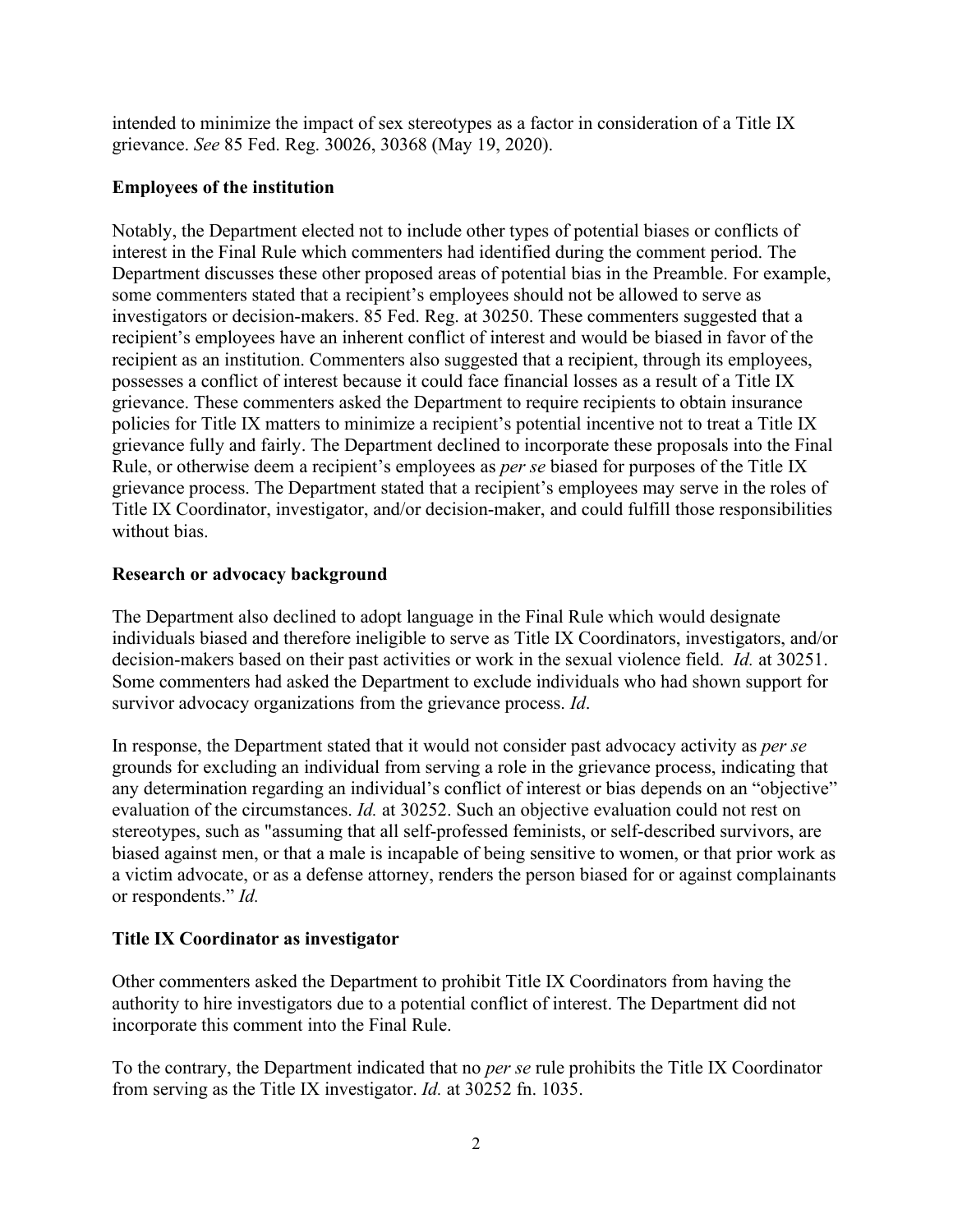intended to minimize the impact of sex stereotypes as a factor in consideration of a Title IX grievance. *See* 85 Fed. Reg. 30026, 30368 (May 19, 2020).

### **Employees of the institution**

Notably, the Department elected not to include other types of potential biases or conflicts of interest in the Final Rule which commenters had identified during the comment period. The Department discusses these other proposed areas of potential bias in the Preamble. For example, some commenters stated that a recipient's employees should not be allowed to serve as investigators or decision-makers. 85 Fed. Reg. at 30250. These commenters suggested that a recipient's employees have an inherent conflict of interest and would be biased in favor of the recipient as an institution. Commenters also suggested that a recipient, through its employees, possesses a conflict of interest because it could face financial losses as a result of a Title IX grievance. These commenters asked the Department to require recipients to obtain insurance policies for Title IX matters to minimize a recipient's potential incentive not to treat a Title IX grievance fully and fairly. The Department declined to incorporate these proposals into the Final Rule, or otherwise deem a recipient's employees as *per se* biased for purposes of the Title IX grievance process. The Department stated that a recipient's employees may serve in the roles of Title IX Coordinator, investigator, and/or decision-maker, and could fulfill those responsibilities without bias.

#### **Research or advocacy background**

The Department also declined to adopt language in the Final Rule which would designate individuals biased and therefore ineligible to serve as Title IX Coordinators, investigators, and/or decision-makers based on their past activities or work in the sexual violence field. *Id.* at 30251. Some commenters had asked the Department to exclude individuals who had shown support for survivor advocacy organizations from the grievance process. *Id*.

In response, the Department stated that it would not consider past advocacy activity as *per se*  grounds for excluding an individual from serving a role in the grievance process, indicating that any determination regarding an individual's conflict of interest or bias depends on an "objective" evaluation of the circumstances. *Id.* at 30252. Such an objective evaluation could not rest on stereotypes, such as "assuming that all self-professed feminists, or self-described survivors, are biased against men, or that a male is incapable of being sensitive to women, or that prior work as a victim advocate, or as a defense attorney, renders the person biased for or against complainants or respondents." *Id.*

## **Title IX Coordinator as investigator**

Other commenters asked the Department to prohibit Title IX Coordinators from having the authority to hire investigators due to a potential conflict of interest. The Department did not incorporate this comment into the Final Rule.

To the contrary, the Department indicated that no *per se* rule prohibits the Title IX Coordinator from serving as the Title IX investigator. *Id.* at 30252 fn. 1035.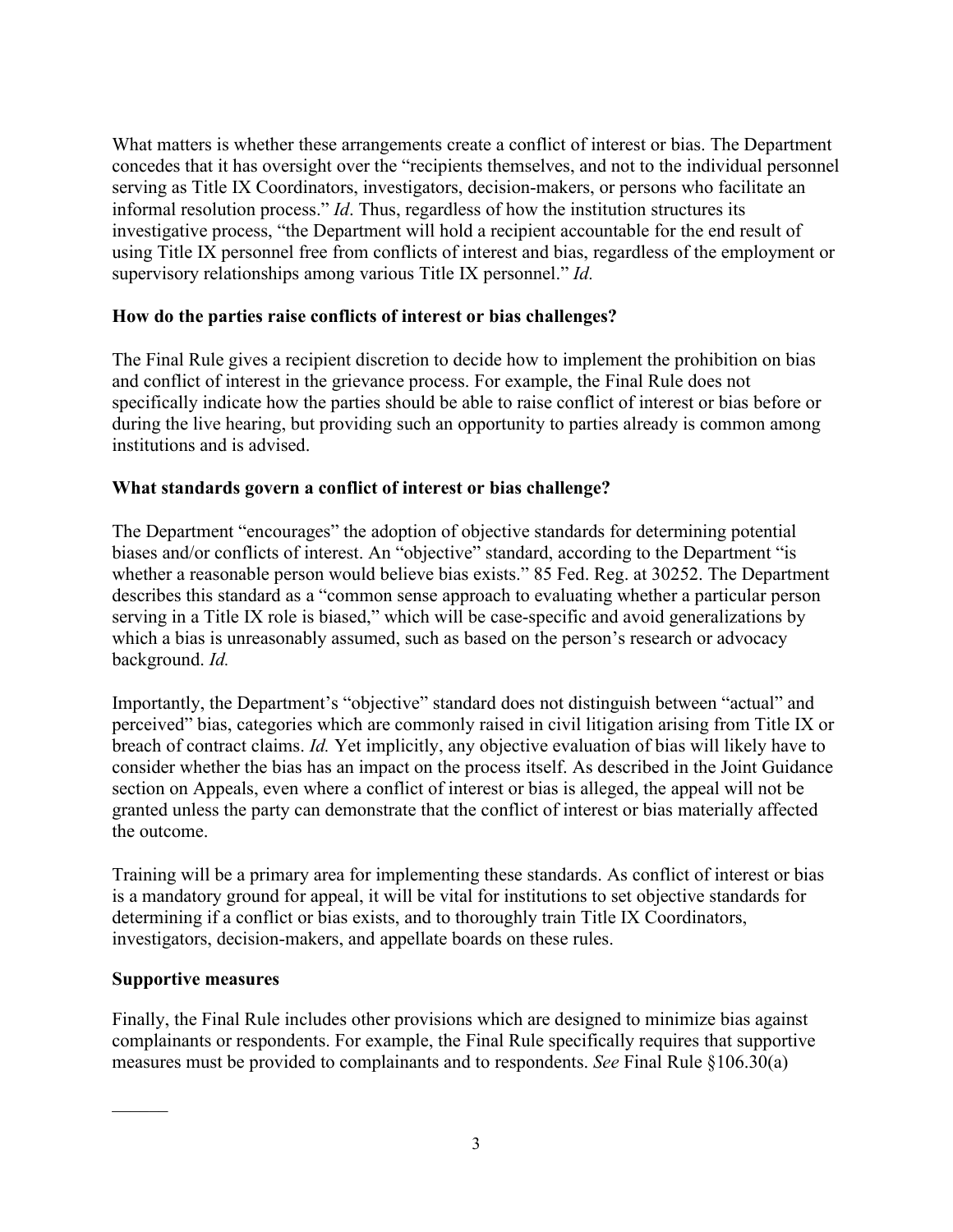What matters is whether these arrangements create a conflict of interest or bias. The Department concedes that it has oversight over the "recipients themselves, and not to the individual personnel serving as Title IX Coordinators, investigators, decision-makers, or persons who facilitate an informal resolution process." *Id*. Thus, regardless of how the institution structures its investigative process, "the Department will hold a recipient accountable for the end result of using Title IX personnel free from conflicts of interest and bias, regardless of the employment or supervisory relationships among various Title IX personnel." *Id.*

## **How do the parties raise conflicts of interest or bias challenges?**

The Final Rule gives a recipient discretion to decide how to implement the prohibition on bias and conflict of interest in the grievance process. For example, the Final Rule does not specifically indicate how the parties should be able to raise conflict of interest or bias before or during the live hearing, but providing such an opportunity to parties already is common among institutions and is advised.

#### **What standards govern a conflict of interest or bias challenge?**

The Department "encourages" the adoption of objective standards for determining potential biases and/or conflicts of interest. An "objective" standard, according to the Department "is whether a reasonable person would believe bias exists." 85 Fed. Reg. at 30252. The Department describes this standard as a "common sense approach to evaluating whether a particular person serving in a Title IX role is biased," which will be case-specific and avoid generalizations by which a bias is unreasonably assumed, such as based on the person's research or advocacy background. *Id.*

Importantly, the Department's "objective" standard does not distinguish between "actual" and perceived" bias, categories which are commonly raised in civil litigation arising from Title IX or breach of contract claims. *Id.* Yet implicitly, any objective evaluation of bias will likely have to consider whether the bias has an impact on the process itself. As described in the Joint Guidance section on Appeals, even where a conflict of interest or bias is alleged, the appeal will not be granted unless the party can demonstrate that the conflict of interest or bias materially affected the outcome.

Training will be a primary area for implementing these standards. As conflict of interest or bias is a mandatory ground for appeal, it will be vital for institutions to set objective standards for determining if a conflict or bias exists, and to thoroughly train Title IX Coordinators, investigators, decision-makers, and appellate boards on these rules.

#### **Supportive measures**

 $\frac{1}{2}$ 

Finally, the Final Rule includes other provisions which are designed to minimize bias against complainants or respondents. For example, the Final Rule specifically requires that supportive measures must be provided to complainants and to respondents. *See* Final Rule §106.30(a)